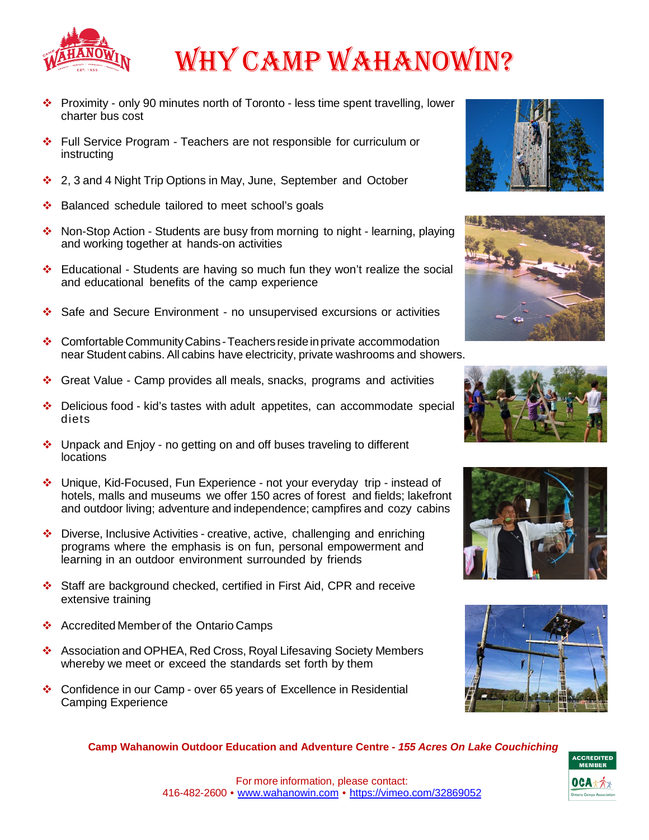

# WHY CAMP WAHANOWIN?

- Proximity only 90 minutes north of Toronto less time spent travelling, lower charter bus cost
- Full Service Program Teachers are not responsible for curriculum or instructing
- ❖ 2, 3 and 4 Night Trip Options in May, June, September and October
- ❖ Balanced schedule tailored to meet school's goals
- Non-Stop Action Students are busy from morning to night learning, playing and working together at hands-on activities
- Educational Students are having so much fun they won't realize the social and educational benefits of the camp experience
- Safe and Secure Environment no unsupervised excursions or activities
- ❖ Comfortable Community Cabins Teachers reside in private accommodation near Student cabins. All cabins have electricity, private washrooms and showers.
- Great Value Camp provides all meals, snacks, programs and activities
- $\div$  Delicious food kid's tastes with adult appetites, can accommodate special diets
- Unpack and Enjoy no getting on and off buses traveling to different locations
- Unique, Kid-Focused, Fun Experience not your everyday trip instead of hotels, malls and museums we offer 150 acres of forest and fields; lakefront and outdoor living; adventure and independence; campfires and cozy cabins
- Diverse, Inclusive Activities creative, active, challenging and enriching programs where the emphasis is on fun, personal empowerment and learning in an outdoor environment surrounded by friends
- Staff are background checked, certified in First Aid, CPR and receive extensive training
- ❖ Accredited Member of the Ontario Camps
- Association and OPHEA, Red Cross, Royal Lifesaving Society Members whereby we meet or exceed the standards set forth by them
- Confidence in our Camp over 65 years of Excellence in Residential Camping Experience











**Camp Wahanowin Outdoor Education and Adventure Centre -** *155 Acres On Lake Couchiching*

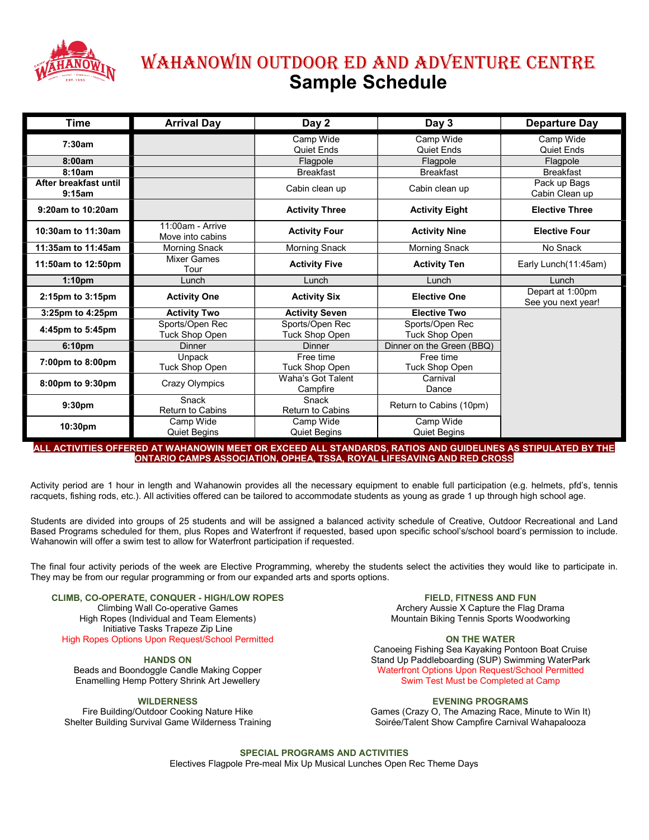

# WAHANOWIN OutdOOr Ed ANd AdvENturE CENtrE Sample Schedule

| Time                            | <b>Arrival Day</b>                       | Day 2                                    | Day 3                             | <b>Departure Day</b>                   |  |
|---------------------------------|------------------------------------------|------------------------------------------|-----------------------------------|----------------------------------------|--|
| 7:30am                          |                                          | Camp Wide<br><b>Quiet Ends</b>           | Camp Wide<br><b>Quiet Ends</b>    | Camp Wide<br><b>Quiet Ends</b>         |  |
| 8:00am                          |                                          | Flagpole                                 | Flagpole                          | Flagpole                               |  |
| 8:10am                          |                                          | <b>Breakfast</b>                         | <b>Breakfast</b>                  | <b>Breakfast</b>                       |  |
| After breakfast until<br>9:15am |                                          | Cabin clean up                           | Cabin clean up                    | Pack up Bags<br>Cabin Clean up         |  |
| 9:20am to 10:20am               | <b>Activity Three</b>                    |                                          | <b>Activity Eight</b>             | <b>Elective Three</b>                  |  |
| 10:30am to 11:30am              | 11:00am - Arrive<br>Move into cabins     | <b>Activity Four</b>                     | <b>Activity Nine</b>              | <b>Elective Four</b>                   |  |
| 11:35am to 11:45am              | <b>Morning Snack</b>                     | Morning Snack                            | Morning Snack                     | No Snack                               |  |
| 11:50am to 12:50pm              | <b>Mixer Games</b><br>Tour               | <b>Activity Five</b>                     | <b>Activity Ten</b>               | Early Lunch(11:45am)                   |  |
| 1:10 <sub>pm</sub>              | Lunch                                    | Lunch                                    | Lunch                             | Lunch                                  |  |
| 2:15pm to 3:15pm                | <b>Activity One</b>                      | <b>Activity Six</b>                      | <b>Elective One</b>               | Depart at 1:00pm<br>See you next year! |  |
| 3:25pm to 4:25pm                | <b>Activity Two</b>                      | <b>Activity Seven</b>                    | <b>Elective Two</b>               |                                        |  |
| 4:45pm to 5:45pm                | Sports/Open Rec<br><b>Tuck Shop Open</b> | Sports/Open Rec<br><b>Tuck Shop Open</b> | Sports/Open Rec<br>Tuck Shop Open |                                        |  |
| 6:10pm                          | <b>Dinner</b>                            | <b>Dinner</b>                            | Dinner on the Green (BBQ)         |                                        |  |
| 7:00pm to 8:00pm                | Unpack<br>Tuck Shop Open                 | Free time<br>Tuck Shop Open              | Free time<br>Tuck Shop Open       |                                        |  |
| 8:00pm to 9:30pm                | Crazy Olympics                           | Waha's Got Talent<br>Campfire            | Carnival<br>Dance                 |                                        |  |
| 9:30pm                          | Snack<br><b>Return to Cabins</b>         | Snack<br><b>Return to Cabins</b>         | Return to Cabins (10pm)           |                                        |  |
| 10:30pm                         | Camp Wide<br><b>Quiet Begins</b>         | Camp Wide<br><b>Quiet Begins</b>         | Camp Wide<br><b>Quiet Begins</b>  |                                        |  |

#### ACTIVITIES OFFERED AT WAHANOWIN MEET OR EXCEED ALL STANDARDS, RATIOS AND GUIDELINES AS STIPULATED BY THE ONTARIO CAMPS ASSOCIATION, OPHEA, TSSA, ROYAL LIFESAVING AND RED CROSS

Activity period are 1 hour in length and Wahanowin provides all the necessary equipment to enable full participation (e.g. helmets, pfd's, tennis racquets, fishing rods, etc.). All activities offered can be tailored to accommodate students as young as grade 1 up through high school age.

Students are divided into groups of 25 students and will be assigned a balanced activity schedule of Creative, Outdoor Recreational and Land Based Programs scheduled for them, plus Ropes and Waterfront if requested, based upon specific school's/school board's permission to include. Wahanowin will offer a swim test to allow for Waterfront participation if requested.

The final four activity periods of the week are Elective Programming, whereby the students select the activities they would like to participate in. They may be from our regular programming or from our expanded arts and sports options.

### CLIMB, CO-OPERATE, CONQUER - HIGH/LOW ROPES

Climbing Wall Co-operative Games High Ropes (Individual and Team Elements) Initiative Tasks Trapeze Zip Line High Ropes Options Upon Request/School Permitted

HANDS ON Beads and Boondoggle Candle Making Copper Enamelling Hemp Pottery Shrink Art Jewellery

WILDERNESS Fire Building/Outdoor Cooking Nature Hike Shelter Building Survival Game Wilderness Training FIELD, FITNESS AND FUN

Archery Aussie X Capture the Flag Drama Mountain Biking Tennis Sports Woodworking

#### ON THE WATER

Canoeing Fishing Sea Kayaking Pontoon Boat Cruise Stand Up Paddleboarding (SUP) Swimming WaterPark Waterfront Options Upon Request/School Permitted Swim Test Must be Completed at Camp

#### EVENING PROGRAMS

Games (Crazy O, The Amazing Race, Minute to Win It) Soirée/Talent Show Campfire Carnival Wahapalooza

SPECIAL PROGRAMS AND ACTIVITIES

Electives Flagpole Pre-meal Mix Up Musical Lunches Open Rec Theme Days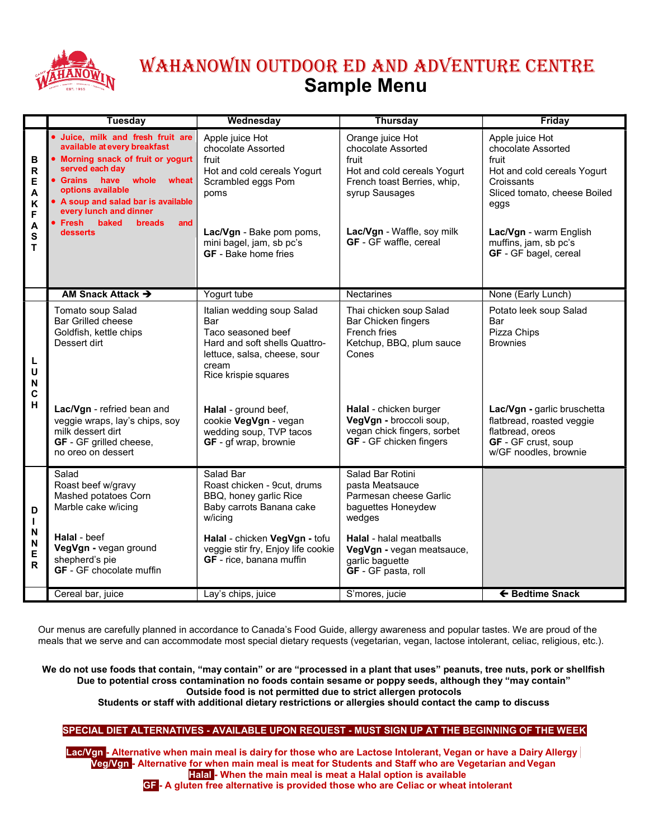

# WAHANOWIN OUTDOOR ED AND ADVENTURE CENTRE Sample Menu

|                                                                 | <b>Tuesday</b>                                                                                                                                                                                                                                                                                             | Wednesday                                                                                                                                                           | <b>Thursday</b>                                                                                                                                                                         | Friday                                                                                                                                                                                 |
|-----------------------------------------------------------------|------------------------------------------------------------------------------------------------------------------------------------------------------------------------------------------------------------------------------------------------------------------------------------------------------------|---------------------------------------------------------------------------------------------------------------------------------------------------------------------|-----------------------------------------------------------------------------------------------------------------------------------------------------------------------------------------|----------------------------------------------------------------------------------------------------------------------------------------------------------------------------------------|
| B<br>$\mathsf R$<br>Е<br>A<br>$\pmb{\mathsf{K}}$<br>F<br>A<br>S | Juice, milk and fresh fruit are<br>available at every breakfast<br>Morning snack of fruit or yogurt<br>served each day<br>Grains have<br>whole<br>wheat<br>options available<br>• A soup and salad bar is available<br>every lunch and dinner<br><b>Fresh</b><br>baked<br><b>breads</b><br>and<br>desserts | Apple juice Hot<br>chocolate Assorted<br>fruit<br>Hot and cold cereals Yogurt<br>Scrambled eggs Pom<br>poms<br>Lac/Vgn - Bake pom poms,<br>mini bagel, jam, sb pc's | Orange juice Hot<br>chocolate Assorted<br>fruit<br>Hot and cold cereals Yogurt<br>French toast Berries, whip,<br>syrup Sausages<br>Lac/Vgn - Waffle, soy milk<br>GF - GF waffle, cereal | Apple juice Hot<br>chocolate Assorted<br>fruit<br>Hot and cold cereals Yogurt<br>Croissants<br>Sliced tomato, cheese Boiled<br>eggs<br>Lac/Vgn - warm English<br>muffins, jam, sb pc's |
| T                                                               | AM Snack Attack $\rightarrow$                                                                                                                                                                                                                                                                              | <b>GF</b> - Bake home fries<br>Yogurt tube                                                                                                                          | <b>Nectarines</b>                                                                                                                                                                       | GF - GF bagel, cereal<br>None (Early Lunch)                                                                                                                                            |
|                                                                 | Tomato soup Salad                                                                                                                                                                                                                                                                                          | Italian wedding soup Salad                                                                                                                                          | Thai chicken soup Salad                                                                                                                                                                 | Potato leek soup Salad                                                                                                                                                                 |
| L<br>U<br>N<br>C                                                | <b>Bar Grilled cheese</b><br>Goldfish, kettle chips<br>Dessert dirt                                                                                                                                                                                                                                        | Bar<br>Taco seasoned beef<br>Hard and soft shells Quattro-<br>lettuce, salsa, cheese, sour<br>cream<br>Rice krispie squares                                         | Bar Chicken fingers<br>French fries<br>Ketchup, BBQ, plum sauce<br>Cones                                                                                                                | Bar<br>Pizza Chips<br><b>Brownies</b>                                                                                                                                                  |
| н                                                               | Lac/Vgn - refried bean and<br>veggie wraps, lay's chips, soy<br>milk dessert dirt<br>GF - GF grilled cheese,<br>no oreo on dessert                                                                                                                                                                         | Halal - ground beef,<br>cookie VegVgn - vegan<br>wedding soup, TVP tacos<br><b>GF</b> - gf wrap, brownie                                                            | Halal - chicken burger<br>VegVgn - broccoli soup,<br>vegan chick fingers, sorbet<br>GF - GF chicken fingers                                                                             | Lac/Vgn - garlic bruschetta<br>flatbread, roasted veggie<br>flatbread, oreos<br>GF - GF crust, soup<br>w/GF noodles, brownie                                                           |
| D<br>L                                                          | Salad<br>Roast beef w/gravy<br>Mashed potatoes Corn<br>Marble cake w/icing                                                                                                                                                                                                                                 | Salad Bar<br>Roast chicken - 9cut, drums<br>BBQ, honey garlic Rice<br>Baby carrots Banana cake<br>w/icing                                                           | Salad Bar Rotini<br>pasta Meatsauce<br>Parmesan cheese Garlic<br>baguettes Honeydew<br>wedges                                                                                           |                                                                                                                                                                                        |
| N<br>N<br>E<br>$\mathsf{R}$                                     | Halal - beef<br>VegVgn - vegan ground<br>shepherd's pie<br>GF - GF chocolate muffin                                                                                                                                                                                                                        | Halal - chicken VegVgn - tofu<br>veggie stir fry, Enjoy life cookie<br>GF - rice, banana muffin                                                                     | <b>Halal</b> - halal meatballs<br>VegVgn - vegan meatsauce,<br>garlic baguette<br>GF - GF pasta, roll                                                                                   |                                                                                                                                                                                        |
|                                                                 | Cereal bar, juice                                                                                                                                                                                                                                                                                          | Lay's chips, juice                                                                                                                                                  | S'mores, jucie                                                                                                                                                                          | ← Bedtime Snack                                                                                                                                                                        |

Our menus are carefully planned in accordance to Canada's Food Guide, allergy awareness and popular tastes. We are proud of the meals that we serve and can accommodate most special dietary requests (vegetarian, vegan, lactose intolerant, celiac, religious, etc.).

We do not use foods that contain, "may contain" or are "processed in a plant that uses" peanuts, tree nuts, pork or shellfish Due to potential cross contamination no foods contain sesame or poppy seeds, although they "may contain" Outside food is not permitted due to strict allergen protocols

Students or staff with additional dietary restrictions or allergies should contact the camp to discuss

### SPECIAL DIET ALTERNATIVES - AVAILABLE UPON REQUEST - MUST SIGN UP AT THE BEGINNING OF THE WEEK

Lac/Vgn - Alternative when main meal is dairy for those who are Lactose Intolerant, Vegan or have a Dairy Allergy Veg/Vgn - Alternative for when main meal is meat for Students and Staff who are Vegetarian and Vegan Halal - When the main meal is meat a Halal option is available

GF - A gluten free alternative is provided those who are Celiac or wheat intolerant